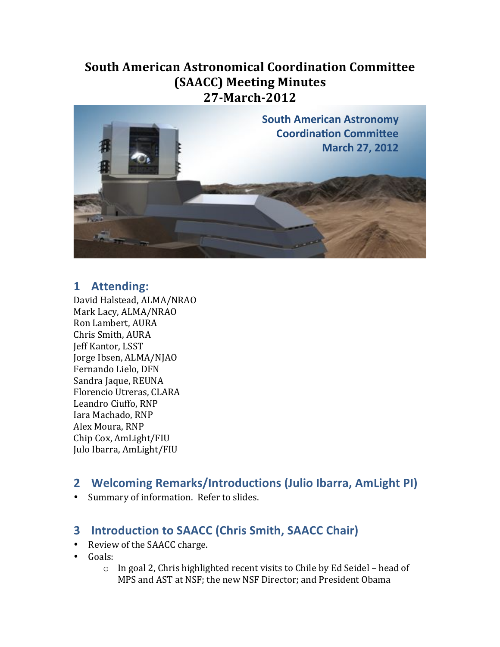### **South&American&Astronomical&Coordination&Committee& (SAACC) Meeting Minutes 27-March-2012 Jeffrey'P.'Kantor'**



## **1 Attending:**

David Halstead, ALMA/NRAO Mark Lacy, ALMA/NRAO Ron Lambert, AURA Chris Smith, AURA Jeff Kantor, LSST Jorge Ibsen, ALMA/NJAO Fernando Lielo, DFN Sandra Jaque, REUNA Florencio Utreras, CLARA Leandro Ciuffo, RNP Iara Machado, RNP Alex Moura, RNP Chip!Cox,!AmLight/FIU Julo Ibarra, AmLight/FIU

## **2 Welcoming\*Remarks/Introductions\*(Julio\*Ibarra,\*AmLight\*PI)**

• Summary of information. Refer to slides.

# **3** Introduction to SAACC (Chris Smith, SAACC Chair)

- Review of the SAACC charge.
- Goals:
	- $\circ$  In goal 2, Chris highlighted recent visits to Chile by Ed Seidel head of MPS and AST at NSF; the new NSF Director; and President Obama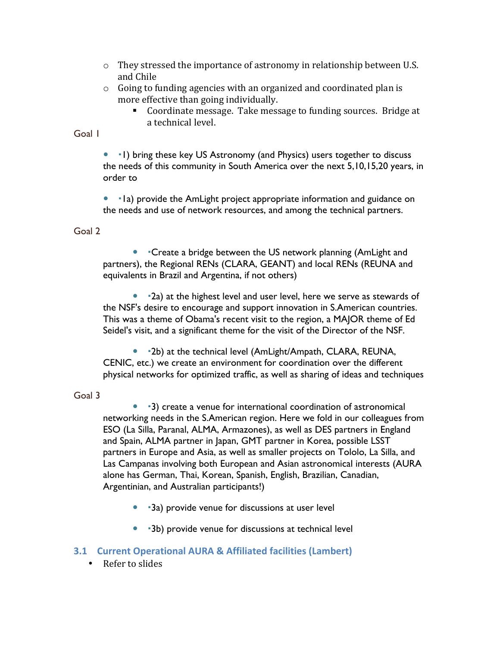- $\circ$  They stressed the importance of astronomy in relationship between U.S. and Chile
- $\circ$  Going to funding agencies with an organized and coordinated plan is more effective than going individually.
	- Coordinate message. Take message to funding sources. Bridge at a technical level.

Goal 1

• I) bring these key US Astronomy (and Physics) users together to discuss the needs of this community in South America over the next 5,10,15,20 years, in order to

• Ia) provide the AmLight project appropriate information and guidance on the needs and use of network resources, and among the technical partners.

### Goal 2

• Create a bridge between the US network planning (AmLight and partners), the Regional RENs (CLARA, GEANT) and local RENs (REUNA and equivalents in Brazil and Argentina, if not others)

• 2a) at the highest level and user level, here we serve as stewards of the NSF's desire to encourage and support innovation in S.American countries. This was a theme of Obama's recent visit to the region, a MAJOR theme of Ed Seidel's visit, and a significant theme for the visit of the Director of the NSF.

• 12b) at the technical level (AmLight/Ampath, CLARA, REUNA, CENIC, etc.) we create an environment for coordination over the different physical networks for optimized traffic, as well as sharing of ideas and techniques

### Goal 3

 3) create a venue for international coordination of astronomical networking needs in the S.American region. Here we fold in our colleagues from ESO (La Silla, Paranal, ALMA, Armazones), as well as DES partners in England and Spain, ALMA partner in Japan, GMT partner in Korea, possible LSST partners in Europe and Asia, as well as smaller projects on Tololo, La Silla, and Las Campanas involving both European and Asian astronomical interests (AURA alone has German, Thai, Korean, Spanish, English, Brazilian, Canadian, Argentinian, and Australian participants!)

- 3a) provide venue for discussions at user level
- 3b) provide venue for discussions at technical level

### **3.1 Current Operational AURA & Affiliated facilities (Lambert)**

 $\cdot$  Refer to slides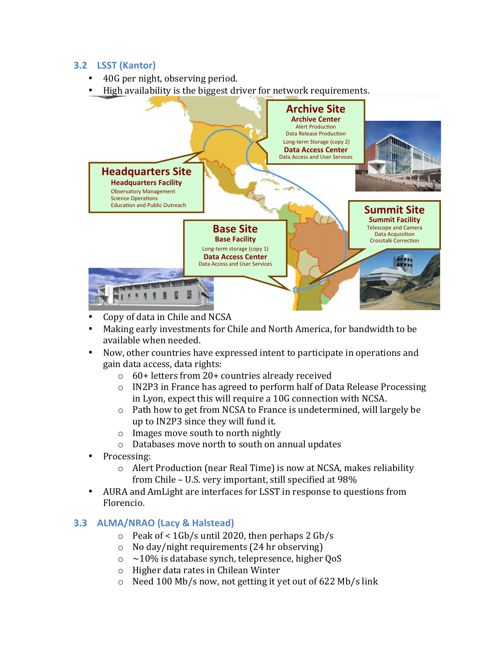### **3.2 LSST** (Kantor)

- 40G per night, observing period.
- High availability is the biggest driver for network requirements.



- Copy of data in Chile and NCSA
- Making early investments for Chile and North America, for bandwidth to be available when needed.
- Now, other countries have expressed intent to participate in operations and gain data access, data rights:
	- $\circ$  60+ letters from 20+ countries already received
	- $\circ$  IN2P3 in France has agreed to perform half of Data Release Processing in Lyon, expect this will require a 10G connection with NCSA.
	- $\circ$  Path how to get from NCSA to France is undetermined, will largely be up to IN2P3 since they will fund it.
	- $\circ$  Images move south to north nightly
	- o Databases move north to south on annual updates
- Processing:
	- $\circ$  Alert Production (near Real Time) is now at NCSA, makes reliability from Chile – U.S. very important, still specified at 98%
- AURA and AmLight are interfaces for LSST in response to questions from Florencio.

### **3.3 ALMA/NRAO (Lacy & Halstead)**

- $\degree$  Peak of < 1Gb/s until 2020, then perhaps 2 Gb/s
- $\circ$  No day/night requirements (24 hr observing)
- $\circ$  ~10% is database synch, telepresence, higher QoS
- o Higher data rates in Chilean Winter
- o Need 100 Mb/s now, not getting it yet out of 622 Mb/s link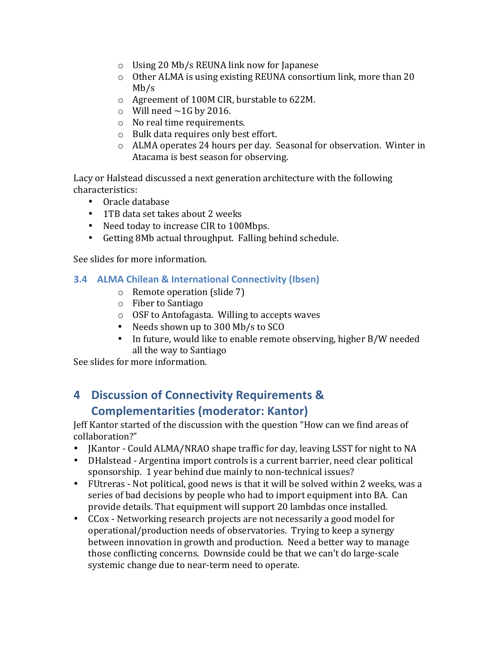- $\circ$  Using 20 Mb/s REUNA link now for Japanese
- $\circ$  Other ALMA is using existing REUNA consortium link, more than 20 Mb/s
- o Agreement of 100M CIR, burstable to 622M.
- $\circ$  Will need ~1G by 2016.
- $\circ$  No real time requirements.
- $\circ$  Bulk data requires only best effort.
- $\circ$  ALMA operates 24 hours per day. Seasonal for observation. Winter in Atacama is best season for observing.

Lacy or Halstead discussed a next generation architecture with the following characteristics:

- Oracle database
- 1TB data set takes about 2 weeks
- Need today to increase CIR to 100Mbps.
- Getting 8Mb actual throughput. Falling behind schedule.

See slides for more information.

- **3.4 ALMA Chilean & International Connectivity (Ibsen)** 
	- $\circ$  Remote operation (slide 7)
	- $\circ$  Fiber to Santiago
	- $\circ$  OSF to Antofagasta. Willing to accepts waves
	- Needs shown up to 300 Mb/s to SCO
	- In future, would like to enable remote observing, higher B/W needed all the way to Santiago

See slides for more information.

# **4 Discussion of Connectivity Requirements & Complementarities (moderator: Kantor)**

Jeff Kantor started of the discussion with the question "How can we find areas of collaboration?"

- JKantor Could ALMA/NRAO shape traffic for day, leaving LSST for night to NA
- DHalstead Argentina import controls is a current barrier, need clear political sponsorship. 1 year behind due mainly to non-technical issues?
- FUtreras Not political, good news is that it will be solved within 2 weeks, was a series of bad decisions by people who had to import equipment into BA. Can provide details. That equipment will support 20 lambdas once installed.
- $CCox$  Networking research projects are not necessarily a good model for operational/production needs of observatories. Trying to keep a synergy between innovation in growth and production. Need a better way to manage those conflicting concerns. Downside could be that we can't do large-scale systemic change due to near-term need to operate.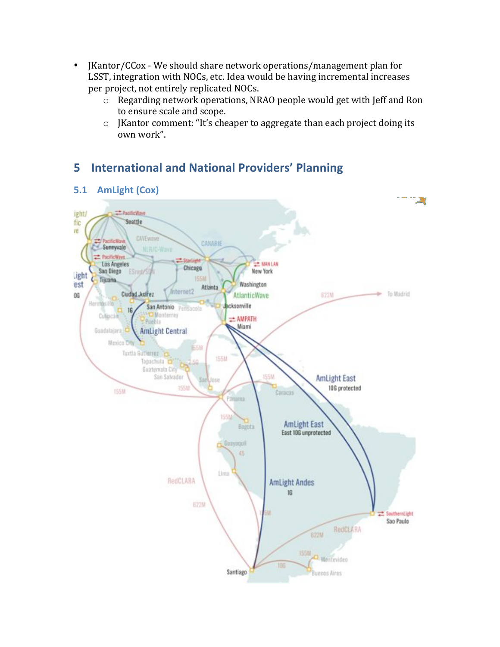- JKantor/CCox We should share network operations/management plan for LSST, integration with NOCs, etc. Idea would be having incremental increases per project, not entirely replicated NOCs.
	- $\circ$  Regarding network operations, NRAO people would get with Jeff and Ron to ensure scale and scope.
	- $\circ$  JKantor comment: "It's cheaper to aggregate than each project doing its own work".

# **5** International and National Providers' Planning



# **AmLight (Cox)**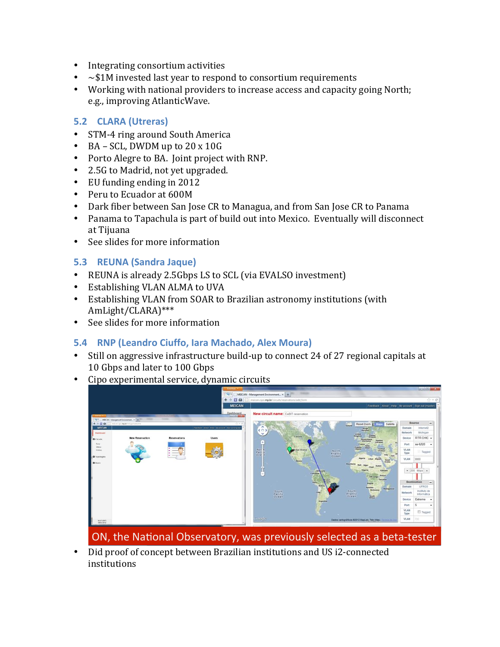- Integrating consortium activities
- $\sim$  \$1M invested last year to respond to consortium requirements
- Working with national providers to increase access and capacity going North; e.g., improving AtlanticWave.

### **5.2 CLARA (Utreras)**

- STM-4 ring around South America
- BA SCL, DWDM up to  $20 \times 10G$
- Porto Alegre to BA. Joint project with RNP.
- 2.5G to Madrid, not yet upgraded.
- EU funding ending in  $2012$
- Peru to Ecuador at 600M
- Dark fiber between San Jose CR to Managua, and from San Jose CR to Panama
- Panama to Tapachula is part of build out into Mexico. Eventually will disconnect at Tijuana
- $\cdot$  See slides for more information

### **5.3 REUNA\*(Sandra\*Jaque)**

- REUNA is already 2.5Gbps LS to SCL (via EVALSO investment)
- Establishing VLAN ALMA to UVA
- Establishing VLAN from SOAR to Brazilian astronomy institutions (with AmLight/CLARA)\*\*\*
- See slides for more information

# **5.4 RNP (Leandro Ciuffo, Iara Machado, Alex Moura)**

- Still on aggressive infrastructure build-up to connect 24 of 27 regional capitals at 10 Gbps and later to 100 Gbps
- Cipo experimental service, dynamic circuits.



ON, the National Observatory, was previously selected as a beta-tester

• Did proof of concept between Brazilian institutions and US i2-connected institutions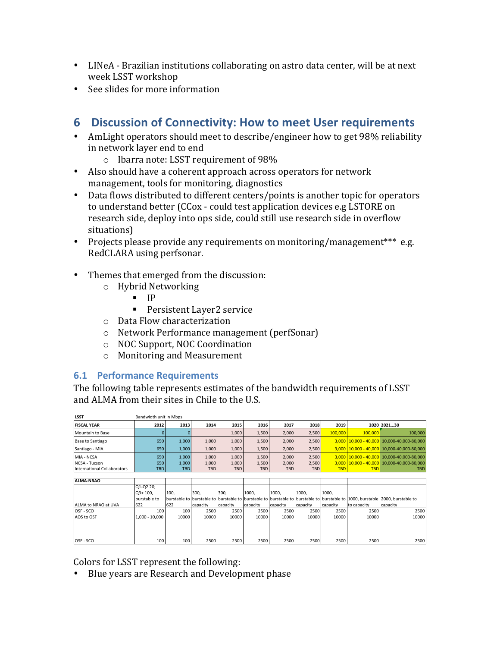- LINeA Brazilian institutions collaborating on astro data center, will be at next week LSST workshop
- See slides for more information

# **6 Discussion of Connectivity: How to meet User requirements**

- AmLight operators should meet to describe/engineer how to get 98% reliability in network layer end to end
	- $\circ$  Ibarra note: LSST requirement of 98%
- Also should have a coherent approach across operators for network management, tools for monitoring, diagnostics
- Data flows distributed to different centers/points is another topic for operators to understand better (CCox - could test application devices e.g LSTORE on research side, deploy into ops side, could still use research side in overflow situations)
- Projects please provide any requirements on monitoring/management\*\*\* e.g. RedCLARA using perfsonar.
- Themes that emerged from the discussion:
	- o Hybrid!Networking
		- $IP$
		- Persistent Layer2 service
	- $\circ$  Data Flow characterization
	- o Network Performance management (perfSonar)
	- o NOC!Support,!NOC!Coordination
	- $\circ$  Monitoring and Measurement

### **6.1 Performance Requirements**

The following table represents estimates of the bandwidth requirements of LSST and ALMA from their sites in Chile to the U.S.

| <b>LSST</b>                 | Bandwidth unit in Mbps |            |            |       |            |            |            |            |            |                                                  |
|-----------------------------|------------------------|------------|------------|-------|------------|------------|------------|------------|------------|--------------------------------------------------|
| <b>FISCAL YEAR</b>          | 2012                   | 2013       | 2014       | 2015  | 2016       | 2017       | 2018       | 2019       |            | 2020 202130                                      |
| Mountain to Base            |                        |            |            | 1,000 | 1,500      | 2,000      | 2.500      | 100.000    | 100,000    | 100,000                                          |
| Base to Santiago            | 650                    | 1.000      | 1,000      | 1,000 | 1.500      | 2.000      | 2,500      |            |            | $3,000$   10,000 - 40,000   10,000-40,000-80,000 |
| Santiago - MIA              | 650                    | 1,000      | 1,000      | 1,000 | 1,500      | 2,000      | 2,500      |            |            | $3,000$ $10,000$ - 40,000 10,000-40,000-80,000   |
| MIA - NCSA                  | 650                    | 1,000      | 1,000      | 1,000 | 1,500      | 2,000      | 2,500      |            |            | $3,000$   10,000 - 40,000   10,000-40,000-80,000 |
| <b>NCSA - Tucson</b>        | 650                    | 1,000      | 1,000      | 1.000 | 1.500      | 2,000      | 2,500      |            |            | $3,000$ 10,000 - 40,000 10,000-40,000-80,000     |
| International Collaborators | <b>TBD</b>             | <b>TBD</b> | <b>TBD</b> | TBD   | <b>TBD</b> | <b>TBD</b> | <b>TBD</b> | <b>TBD</b> | <b>TBD</b> | <b>TBD</b>                                       |
|                             |                        |            |            |       |            |            |            |            |            |                                                  |

| <b>ALMA-NRAO</b>            |                  |       |          |          |          |          |          |          |             |                                                                                                                               |
|-----------------------------|------------------|-------|----------|----------|----------|----------|----------|----------|-------------|-------------------------------------------------------------------------------------------------------------------------------|
|                             | Q1-Q2 20;        |       |          |          |          |          |          |          |             |                                                                                                                               |
|                             | O3+ 100.         | 100.  | 300,     | 300.     | 1000.    | 1000.    | 1000.    | 1000.    |             |                                                                                                                               |
|                             | burstable to     |       |          |          |          |          |          |          |             | burstable to burstable to burstable to burstable to burstable to burstable to burstable to 1000, burstable 2000, burstable to |
| <b>JALMA to NRAO at UVA</b> | 622              | 622   | capacity | capacity | capacity | capacity | capacity | capacity | to capacity | capacity                                                                                                                      |
| <b>OSF - SCO</b>            | 100 <sub>1</sub> | 100   | 2500     | 2500     | 2500     | 2500     | 2500     | 2500     | 2500        | 2500                                                                                                                          |
| AOS to OSF                  | $1,000 - 10,000$ | 10000 | 10000    | 10000    | 10000    | 10000    | 10000    | 10000    | 10000       | 10000                                                                                                                         |
|                             |                  |       |          |          |          |          |          |          |             |                                                                                                                               |
|                             |                  |       |          |          |          |          |          |          |             |                                                                                                                               |
|                             |                  |       |          |          |          |          |          |          |             |                                                                                                                               |
| <b>OSF-SCO</b>              | 100              | 100   | 2500     | 2500     | 2500     | 2500     | 2500     | 2500     | 2500        | 2500                                                                                                                          |

Colors for LSST represent the following:

• Blue years are Research and Development phase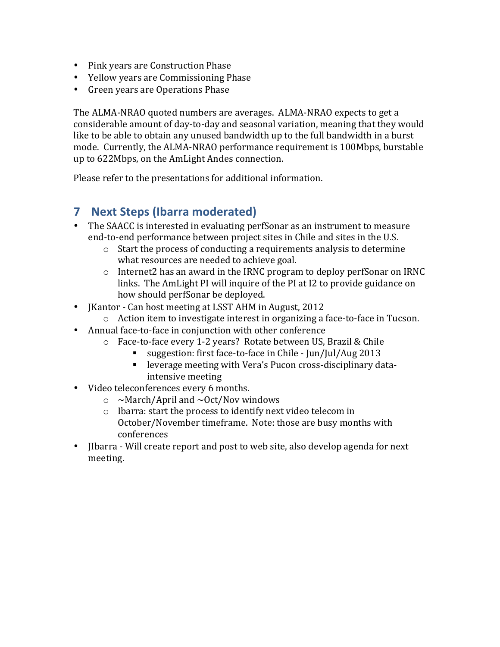- Pink years are Construction Phase
- Yellow years are Commissioning Phase
- Green years are Operations Phase

The ALMA-NRAO quoted numbers are averages. ALMA-NRAO expects to get a considerable amount of day-to-day and seasonal variation, meaning that they would like to be able to obtain any unused bandwidth up to the full bandwidth in a burst mode. Currently, the ALMA-NRAO performance requirement is 100Mbps, burstable up to 622Mbps, on the AmLight Andes connection.

Please refer to the presentations for additional information.

# **7 Next\*Steps (Ibarra\*moderated)**

- The SAACC is interested in evaluating perfSonar as an instrument to measure end-to-end performance between project sites in Chile and sites in the U.S.
	- $\circ$  Start the process of conducting a requirements analysis to determine what resources are needed to achieve goal.
	- $\circ$  Internet2 has an award in the IRNC program to deploy perfSonar on IRNC links. The AmLight PI will inquire of the PI at I2 to provide guidance on how should perfSonar be deployed.
- JKantor Can host meeting at LSST AHM in August, 2012
	- $\circ$  Action item to investigate interest in organizing a face-to-face in Tucson.
- Annual face-to-face in conjunction with other conference
	- o Face-to-face every 1-2 years? Rotate between US, Brazil & Chile
		- suggestion: first face-to-face in Chile Jun/Jul/Aug 2013
		- leverage meeting with Vera's Pucon cross-disciplinary dataintensive meeting
- Video teleconferences every 6 months.
	- $\circ$  ~March/April and ~Oct/Nov windows
	- $\circ$  Ibarra: start the process to identify next video telecom in October/November timeframe. Note: those are busy months with conferences
- Ilbarra Will create report and post to web site, also develop agenda for next meeting.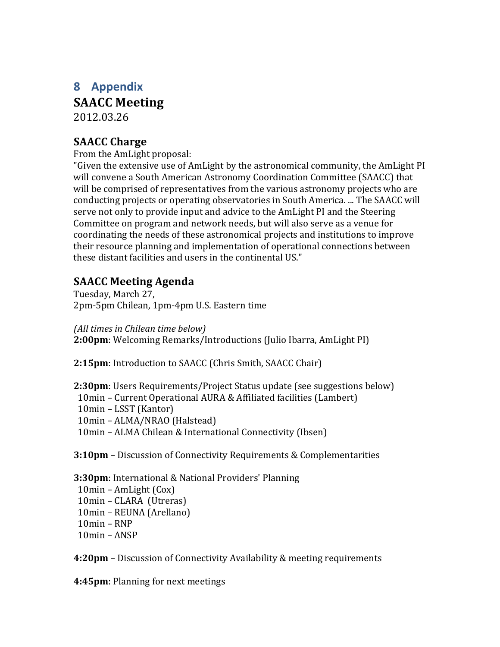# **8 Appendix SAACC** Meeting 2012.03.26

# **SAACC** Charge

From the AmLight proposal:

"Given the extensive use of AmLight by the astronomical community, the AmLight PI" will convene a South American Astronomy Coordination Committee (SAACC) that will be comprised of representatives from the various astronomy projects who are conducting projects or operating observatories in South America. ... The SAACC will serve not only to provide input and advice to the AmLight PI and the Steering Committee on program and network needs, but will also serve as a venue for coordinating the needs of these astronomical projects and institutions to improve their resource planning and implementation of operational connections between these distant facilities and users in the continental US."

## **SAACC&Meeting&Agenda**

Tuesday, March 27, 2pm-5pm Chilean, 1pm-4pm U.S. Eastern time

*(All\$times\$in\$Chilean time below)* **2:00pm**: Welcoming Remarks/Introductions (Julio Ibarra, AmLight PI)

**2:15pm**: Introduction to SAACC (Chris Smith, SAACC Chair)

**2:30pm**: Users Requirements/Project Status update (see suggestions below) 10min – Current Operational AURA & Affiliated facilities (Lambert) 10min – LSST (Kantor) 10min – ALMA/NRAO (Halstead) 10min – ALMA Chilean & International Connectivity (Ibsen)

**3:10pm** – Discussion of Connectivity Requirements & Complementarities

**3:30pm**: International & National Providers' Planning  $10$ min – AmLight  $(Cox)$ 10min – CLARA (Utreras) 10min – REUNA (Arellano)  $10$ min – RNP

 $10$ min – ANSP

**4:20pm** – Discussion of Connectivity Availability & meeting requirements

**4:45pm**: Planning for next meetings